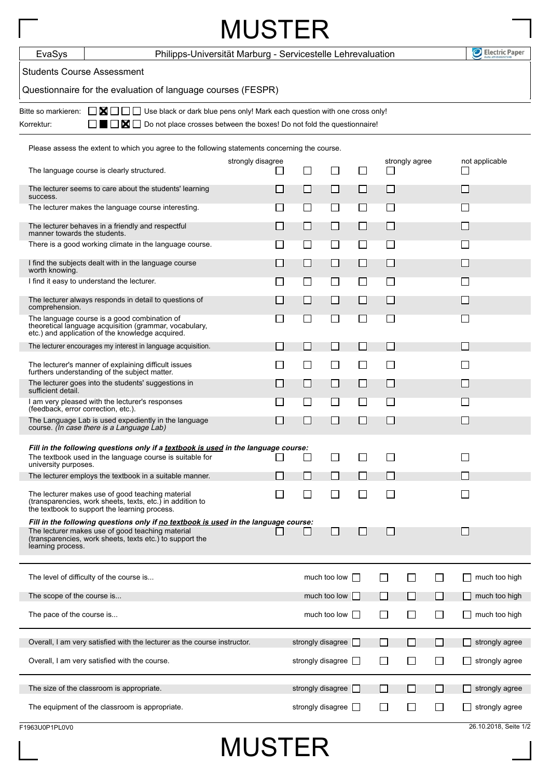| <b>MUSTER</b>                                                                                         |                                                                                                                                                                                                     |                                                  |                          |                          |                |                          |                |               |                       |
|-------------------------------------------------------------------------------------------------------|-----------------------------------------------------------------------------------------------------------------------------------------------------------------------------------------------------|--------------------------------------------------|--------------------------|--------------------------|----------------|--------------------------|----------------|---------------|-----------------------|
| EvaSys                                                                                                | Philipps-Universität Marburg - Servicestelle Lehrevaluation                                                                                                                                         |                                                  |                          |                          |                |                          |                |               | Electric Paper        |
| <b>Students Course Assessment</b>                                                                     |                                                                                                                                                                                                     |                                                  |                          |                          |                |                          |                |               |                       |
|                                                                                                       | Questionnaire for the evaluation of language courses (FESPR)                                                                                                                                        |                                                  |                          |                          |                |                          |                |               |                       |
| Bitte so markieren:<br>Korrektur:                                                                     | □ ■ □ □ Use black or dark blue pens only! Mark each question with one cross only!<br>$\blacksquare$ $\blacksquare$ Do not place crosses between the boxes! Do not fold the questionnaire!           |                                                  |                          |                          |                |                          |                |               |                       |
|                                                                                                       | Please assess the extent to which you agree to the following statements concerning the course.                                                                                                      |                                                  |                          |                          |                |                          |                |               |                       |
|                                                                                                       | The language course is clearly structured.                                                                                                                                                          | strongly disagree<br>$\mathcal{L}_{\mathcal{A}}$ | $\Box$                   | $\mathsf{L}$             | ΙI             | ப                        | strongly agree |               | not applicable        |
| The lecturer seems to care about the students' learning                                               |                                                                                                                                                                                                     |                                                  | $\Box$                   | $\Box$                   | $\Box$         | $\Box$                   |                |               | $\Box$                |
| success.<br>The lecturer makes the language course interesting.                                       |                                                                                                                                                                                                     | $\sim$                                           | $\mathsf{L}$             | $\mathsf{L}$             | $\mathsf{L}$   | $\mathsf{L}$             |                |               | $\mathsf{L}$          |
|                                                                                                       | The lecturer behaves in a friendly and respectful                                                                                                                                                   | $\sim$                                           | $\Box$                   | ப                        | $\Box$         | $\Box$                   |                |               | $\Box$                |
| manner towards the students.<br>There is a good working climate in the language course.               |                                                                                                                                                                                                     |                                                  | $\Box$                   | $\Box$                   | $\Box$         | $\Box$                   |                |               | $\mathsf{L}$          |
|                                                                                                       | I find the subjects dealt with in the language course                                                                                                                                               | $\mathsf{L}$                                     | П                        | П                        | П              | П                        |                |               | $\mathsf{L}$          |
| worth knowing.<br>I find it easy to understand the lecturer.                                          |                                                                                                                                                                                                     | $\sim$                                           | $\Box$                   | $\sqcup$                 | $\Box$         | $\Box$                   |                |               | $\Box$                |
| The lecturer always responds in detail to questions of<br>comprehension.                              |                                                                                                                                                                                                     |                                                  | ⊔                        | $\Box$                   | $\Box$         | $\mathbf{L}$             |                |               | $\Box$                |
|                                                                                                       | The language course is a good combination of<br>theoretical language acquisition (grammar, vocabulary,<br>etc.) and application of the knowledge acquired.                                          | $\sim$                                           | $\blacksquare$           | $\Box$                   | П              | П                        |                |               | $\mathbf{L}$          |
|                                                                                                       | The lecturer encourages my interest in language acquisition.                                                                                                                                        |                                                  | $\blacksquare$           | $\Box$                   | $\blacksquare$ | $\overline{\phantom{0}}$ |                |               | $\mathbf{I}$          |
| The lecturer's manner of explaining difficult issues<br>furthers understanding of the subject matter. |                                                                                                                                                                                                     | $\Box$                                           | $\Box$                   | $\overline{\phantom{a}}$ | $\Box$         | ப                        |                |               | $\mathsf{L}$          |
| sufficient detail.                                                                                    | The lecturer goes into the students' suggestions in                                                                                                                                                 | $\Box$                                           | ப                        | ⊔                        | ⊔              | $\Box$                   |                |               | $\Box$                |
| (feedback, error correction, etc.).                                                                   | I am very pleased with the lecturer's responses                                                                                                                                                     |                                                  | $\mathcal{L}$            | M.                       | M.             | M.                       |                |               | $\mathbf{L}$          |
|                                                                                                       | The Language Lab is used expediently in the language<br>course. (In case there is a Language Lab)                                                                                                   |                                                  | $\overline{\phantom{0}}$ | $\Box$                   | M.             | L.                       |                |               |                       |
| university purposes.                                                                                  | Fill in the following questions only if a textbook is used in the language course:<br>The textbook used in the language course is suitable for                                                      |                                                  | ΙI                       | ΙI                       |                |                          |                |               |                       |
|                                                                                                       | The lecturer employs the textbook in a suitable manner.                                                                                                                                             |                                                  | $\Box$                   | ΙI                       | $\Box$         | $\overline{\phantom{0}}$ |                |               |                       |
|                                                                                                       | The lecturer makes use of good teaching material<br>(transparencies, work sheets, texts, etc.) in addition to<br>the textbook to support the learning process.                                      |                                                  | LI                       | ΙI                       | ΙI             | $\mathsf{L}$             |                |               |                       |
| learning process.                                                                                     | Fill in the following questions only if no textbook is used in the language course:<br>The lecturer makes use of good teaching material<br>(transparencies, work sheets, texts etc.) to support the |                                                  |                          | $\Box$                   | $\Box$         | $\overline{\phantom{0}}$ |                |               |                       |
|                                                                                                       | The level of difficulty of the course is                                                                                                                                                            | much too low                                     |                          |                          |                |                          |                | much too high |                       |
| The scope of the course is                                                                            |                                                                                                                                                                                                     |                                                  | much too low             |                          |                |                          |                | ΙI            | much too high         |
| The pace of the course is                                                                             |                                                                                                                                                                                                     |                                                  | much too low             | $\mathbf{I}$             | $\mathsf{L}$   | ΙI                       | l 1            | much too high |                       |
|                                                                                                       | Overall, I am very satisfied with the lecturer as the course instructor.                                                                                                                            |                                                  | strongly disagree        |                          |                |                          |                |               | strongly agree        |
|                                                                                                       | Overall, I am very satisfied with the course.                                                                                                                                                       |                                                  | strongly disagree $\Box$ |                          |                | $\blacksquare$           | ΙI             | ΙI            | strongly agree        |
|                                                                                                       | The size of the classroom is appropriate.                                                                                                                                                           |                                                  | strongly disagree        |                          |                |                          |                |               | strongly agree        |
|                                                                                                       | The equipment of the classroom is appropriate.                                                                                                                                                      |                                                  | strongly disagree        |                          | $\mathbf{I}$   |                          |                | l 1           | strongly agree        |
| F1963U0P1PL0V0                                                                                        |                                                                                                                                                                                                     |                                                  |                          |                          |                |                          |                |               | 26.10.2018, Seite 1/2 |

## MUSTER